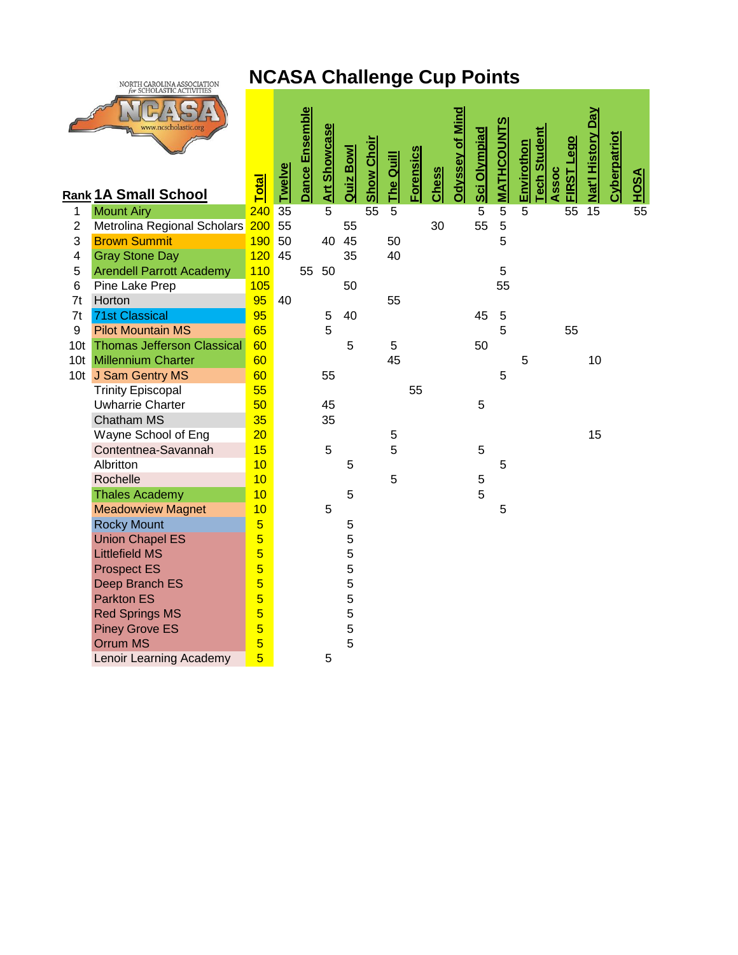## **NCASA Challenge Cup Points**



| Dance Ensemble<br><b>Odyssey of Mind</b><br>Nat'l History Day<br><b>MATHCOUNTS</b><br>Art Showcase<br>Sci Olympiad<br><b>Student</b><br>Cyberpatriot<br><b>Lego</b><br><b>Show Choir</b><br>Envirothon<br><b>Quiz Bow</b><br><b>Forensics</b><br>The Quill<br><b>Twelve</b><br><b>Chess</b><br>Assoc<br><b>FIRST</b><br><u>HOSA</u><br><b>Total</b><br>Tech<br><b>Rank 1A Small School</b><br>$\overline{55}$<br>$\overline{5}$<br>240<br>35<br>5<br>55<br>5<br>5<br>5<br>55<br>15<br><b>Mount Airy</b><br>$\mathbf 1$<br>55<br>5<br>Metrolina Regional Scholars<br>200<br>55<br>30<br>$\overline{2}$<br>55<br>5<br>3<br><b>Brown Summit</b><br>50<br>45<br>190<br>40<br>50<br><b>Gray Stone Day</b><br>120<br>45<br>35<br>40<br>4<br><b>Arendell Parrott Academy</b><br>110<br>5<br>55<br>50<br>5<br>105<br>55<br>Pine Lake Prep<br>50<br>6<br>95<br>Horton<br>40<br>55<br>7t<br>95<br><b>71st Classical</b><br>40<br>45<br>5<br>7t<br>5<br>5<br><b>Pilot Mountain MS</b><br>5<br>9<br>65<br>55<br><b>Thomas Jefferson Classical</b><br>60<br>5<br>5<br>10 <sub>t</sub><br>50<br><b>Millennium Charter</b><br>60<br>45<br>10<br>10 <sub>t</sub><br>5<br>60<br>10t J Sam Gentry MS<br>55<br>5<br>55<br><b>Trinity Episcopal</b><br>55<br><b>Uwharrie Charter</b><br>50<br>5<br>45<br><b>Chatham MS</b><br>35<br>35<br>Wayne School of Eng<br>20<br>15<br>5<br>Contentnea-Savannah<br>15<br>5<br>5<br>5<br>10<br>Albritton<br>5<br>5<br>5<br>10<br>5<br>Rochelle<br>5<br><b>Thales Academy</b><br>10<br>5<br><b>Meadowview Magnet</b><br>10<br>5<br>5<br>$\overline{5}$<br><b>Rocky Mount</b><br>5<br>$\overline{5}$<br>5<br><b>Union Chapel ES</b><br>$\overline{5}$<br>5<br><b>Littlefield MS</b><br>$\overline{5}$<br>5<br><b>Prospect ES</b><br>$\overline{5}$<br>5<br>Deep Branch ES<br>$\overline{5}$<br>5<br><b>Parkton ES</b><br>5<br>$\overline{5}$<br><b>Red Springs MS</b><br>5<br>$\overline{5}$<br><b>Piney Grove ES</b><br>5<br>$\overline{5}$<br><b>Orrum MS</b><br>$\overline{5}$<br>Lenoir Learning Academy<br>5 |  |  |  |  |  |  |  |  |  |  |  |
|----------------------------------------------------------------------------------------------------------------------------------------------------------------------------------------------------------------------------------------------------------------------------------------------------------------------------------------------------------------------------------------------------------------------------------------------------------------------------------------------------------------------------------------------------------------------------------------------------------------------------------------------------------------------------------------------------------------------------------------------------------------------------------------------------------------------------------------------------------------------------------------------------------------------------------------------------------------------------------------------------------------------------------------------------------------------------------------------------------------------------------------------------------------------------------------------------------------------------------------------------------------------------------------------------------------------------------------------------------------------------------------------------------------------------------------------------------------------------------------------------------------------------------------------------------------------------------------------------------------------------------------------------------------------------------------------------------------------------------------------------------------------------------------------------------------------------------------------------------------------------------------------------------------------------------------------------------------------------------------------------------------------------------|--|--|--|--|--|--|--|--|--|--|--|
|                                                                                                                                                                                                                                                                                                                                                                                                                                                                                                                                                                                                                                                                                                                                                                                                                                                                                                                                                                                                                                                                                                                                                                                                                                                                                                                                                                                                                                                                                                                                                                                                                                                                                                                                                                                                                                                                                                                                                                                                                                  |  |  |  |  |  |  |  |  |  |  |  |
|                                                                                                                                                                                                                                                                                                                                                                                                                                                                                                                                                                                                                                                                                                                                                                                                                                                                                                                                                                                                                                                                                                                                                                                                                                                                                                                                                                                                                                                                                                                                                                                                                                                                                                                                                                                                                                                                                                                                                                                                                                  |  |  |  |  |  |  |  |  |  |  |  |
|                                                                                                                                                                                                                                                                                                                                                                                                                                                                                                                                                                                                                                                                                                                                                                                                                                                                                                                                                                                                                                                                                                                                                                                                                                                                                                                                                                                                                                                                                                                                                                                                                                                                                                                                                                                                                                                                                                                                                                                                                                  |  |  |  |  |  |  |  |  |  |  |  |
|                                                                                                                                                                                                                                                                                                                                                                                                                                                                                                                                                                                                                                                                                                                                                                                                                                                                                                                                                                                                                                                                                                                                                                                                                                                                                                                                                                                                                                                                                                                                                                                                                                                                                                                                                                                                                                                                                                                                                                                                                                  |  |  |  |  |  |  |  |  |  |  |  |
|                                                                                                                                                                                                                                                                                                                                                                                                                                                                                                                                                                                                                                                                                                                                                                                                                                                                                                                                                                                                                                                                                                                                                                                                                                                                                                                                                                                                                                                                                                                                                                                                                                                                                                                                                                                                                                                                                                                                                                                                                                  |  |  |  |  |  |  |  |  |  |  |  |
|                                                                                                                                                                                                                                                                                                                                                                                                                                                                                                                                                                                                                                                                                                                                                                                                                                                                                                                                                                                                                                                                                                                                                                                                                                                                                                                                                                                                                                                                                                                                                                                                                                                                                                                                                                                                                                                                                                                                                                                                                                  |  |  |  |  |  |  |  |  |  |  |  |
|                                                                                                                                                                                                                                                                                                                                                                                                                                                                                                                                                                                                                                                                                                                                                                                                                                                                                                                                                                                                                                                                                                                                                                                                                                                                                                                                                                                                                                                                                                                                                                                                                                                                                                                                                                                                                                                                                                                                                                                                                                  |  |  |  |  |  |  |  |  |  |  |  |
|                                                                                                                                                                                                                                                                                                                                                                                                                                                                                                                                                                                                                                                                                                                                                                                                                                                                                                                                                                                                                                                                                                                                                                                                                                                                                                                                                                                                                                                                                                                                                                                                                                                                                                                                                                                                                                                                                                                                                                                                                                  |  |  |  |  |  |  |  |  |  |  |  |
|                                                                                                                                                                                                                                                                                                                                                                                                                                                                                                                                                                                                                                                                                                                                                                                                                                                                                                                                                                                                                                                                                                                                                                                                                                                                                                                                                                                                                                                                                                                                                                                                                                                                                                                                                                                                                                                                                                                                                                                                                                  |  |  |  |  |  |  |  |  |  |  |  |
|                                                                                                                                                                                                                                                                                                                                                                                                                                                                                                                                                                                                                                                                                                                                                                                                                                                                                                                                                                                                                                                                                                                                                                                                                                                                                                                                                                                                                                                                                                                                                                                                                                                                                                                                                                                                                                                                                                                                                                                                                                  |  |  |  |  |  |  |  |  |  |  |  |
|                                                                                                                                                                                                                                                                                                                                                                                                                                                                                                                                                                                                                                                                                                                                                                                                                                                                                                                                                                                                                                                                                                                                                                                                                                                                                                                                                                                                                                                                                                                                                                                                                                                                                                                                                                                                                                                                                                                                                                                                                                  |  |  |  |  |  |  |  |  |  |  |  |
|                                                                                                                                                                                                                                                                                                                                                                                                                                                                                                                                                                                                                                                                                                                                                                                                                                                                                                                                                                                                                                                                                                                                                                                                                                                                                                                                                                                                                                                                                                                                                                                                                                                                                                                                                                                                                                                                                                                                                                                                                                  |  |  |  |  |  |  |  |  |  |  |  |
|                                                                                                                                                                                                                                                                                                                                                                                                                                                                                                                                                                                                                                                                                                                                                                                                                                                                                                                                                                                                                                                                                                                                                                                                                                                                                                                                                                                                                                                                                                                                                                                                                                                                                                                                                                                                                                                                                                                                                                                                                                  |  |  |  |  |  |  |  |  |  |  |  |
|                                                                                                                                                                                                                                                                                                                                                                                                                                                                                                                                                                                                                                                                                                                                                                                                                                                                                                                                                                                                                                                                                                                                                                                                                                                                                                                                                                                                                                                                                                                                                                                                                                                                                                                                                                                                                                                                                                                                                                                                                                  |  |  |  |  |  |  |  |  |  |  |  |
|                                                                                                                                                                                                                                                                                                                                                                                                                                                                                                                                                                                                                                                                                                                                                                                                                                                                                                                                                                                                                                                                                                                                                                                                                                                                                                                                                                                                                                                                                                                                                                                                                                                                                                                                                                                                                                                                                                                                                                                                                                  |  |  |  |  |  |  |  |  |  |  |  |
|                                                                                                                                                                                                                                                                                                                                                                                                                                                                                                                                                                                                                                                                                                                                                                                                                                                                                                                                                                                                                                                                                                                                                                                                                                                                                                                                                                                                                                                                                                                                                                                                                                                                                                                                                                                                                                                                                                                                                                                                                                  |  |  |  |  |  |  |  |  |  |  |  |
|                                                                                                                                                                                                                                                                                                                                                                                                                                                                                                                                                                                                                                                                                                                                                                                                                                                                                                                                                                                                                                                                                                                                                                                                                                                                                                                                                                                                                                                                                                                                                                                                                                                                                                                                                                                                                                                                                                                                                                                                                                  |  |  |  |  |  |  |  |  |  |  |  |
|                                                                                                                                                                                                                                                                                                                                                                                                                                                                                                                                                                                                                                                                                                                                                                                                                                                                                                                                                                                                                                                                                                                                                                                                                                                                                                                                                                                                                                                                                                                                                                                                                                                                                                                                                                                                                                                                                                                                                                                                                                  |  |  |  |  |  |  |  |  |  |  |  |
|                                                                                                                                                                                                                                                                                                                                                                                                                                                                                                                                                                                                                                                                                                                                                                                                                                                                                                                                                                                                                                                                                                                                                                                                                                                                                                                                                                                                                                                                                                                                                                                                                                                                                                                                                                                                                                                                                                                                                                                                                                  |  |  |  |  |  |  |  |  |  |  |  |
|                                                                                                                                                                                                                                                                                                                                                                                                                                                                                                                                                                                                                                                                                                                                                                                                                                                                                                                                                                                                                                                                                                                                                                                                                                                                                                                                                                                                                                                                                                                                                                                                                                                                                                                                                                                                                                                                                                                                                                                                                                  |  |  |  |  |  |  |  |  |  |  |  |
|                                                                                                                                                                                                                                                                                                                                                                                                                                                                                                                                                                                                                                                                                                                                                                                                                                                                                                                                                                                                                                                                                                                                                                                                                                                                                                                                                                                                                                                                                                                                                                                                                                                                                                                                                                                                                                                                                                                                                                                                                                  |  |  |  |  |  |  |  |  |  |  |  |
|                                                                                                                                                                                                                                                                                                                                                                                                                                                                                                                                                                                                                                                                                                                                                                                                                                                                                                                                                                                                                                                                                                                                                                                                                                                                                                                                                                                                                                                                                                                                                                                                                                                                                                                                                                                                                                                                                                                                                                                                                                  |  |  |  |  |  |  |  |  |  |  |  |
|                                                                                                                                                                                                                                                                                                                                                                                                                                                                                                                                                                                                                                                                                                                                                                                                                                                                                                                                                                                                                                                                                                                                                                                                                                                                                                                                                                                                                                                                                                                                                                                                                                                                                                                                                                                                                                                                                                                                                                                                                                  |  |  |  |  |  |  |  |  |  |  |  |
|                                                                                                                                                                                                                                                                                                                                                                                                                                                                                                                                                                                                                                                                                                                                                                                                                                                                                                                                                                                                                                                                                                                                                                                                                                                                                                                                                                                                                                                                                                                                                                                                                                                                                                                                                                                                                                                                                                                                                                                                                                  |  |  |  |  |  |  |  |  |  |  |  |
|                                                                                                                                                                                                                                                                                                                                                                                                                                                                                                                                                                                                                                                                                                                                                                                                                                                                                                                                                                                                                                                                                                                                                                                                                                                                                                                                                                                                                                                                                                                                                                                                                                                                                                                                                                                                                                                                                                                                                                                                                                  |  |  |  |  |  |  |  |  |  |  |  |
|                                                                                                                                                                                                                                                                                                                                                                                                                                                                                                                                                                                                                                                                                                                                                                                                                                                                                                                                                                                                                                                                                                                                                                                                                                                                                                                                                                                                                                                                                                                                                                                                                                                                                                                                                                                                                                                                                                                                                                                                                                  |  |  |  |  |  |  |  |  |  |  |  |
|                                                                                                                                                                                                                                                                                                                                                                                                                                                                                                                                                                                                                                                                                                                                                                                                                                                                                                                                                                                                                                                                                                                                                                                                                                                                                                                                                                                                                                                                                                                                                                                                                                                                                                                                                                                                                                                                                                                                                                                                                                  |  |  |  |  |  |  |  |  |  |  |  |
|                                                                                                                                                                                                                                                                                                                                                                                                                                                                                                                                                                                                                                                                                                                                                                                                                                                                                                                                                                                                                                                                                                                                                                                                                                                                                                                                                                                                                                                                                                                                                                                                                                                                                                                                                                                                                                                                                                                                                                                                                                  |  |  |  |  |  |  |  |  |  |  |  |
|                                                                                                                                                                                                                                                                                                                                                                                                                                                                                                                                                                                                                                                                                                                                                                                                                                                                                                                                                                                                                                                                                                                                                                                                                                                                                                                                                                                                                                                                                                                                                                                                                                                                                                                                                                                                                                                                                                                                                                                                                                  |  |  |  |  |  |  |  |  |  |  |  |
|                                                                                                                                                                                                                                                                                                                                                                                                                                                                                                                                                                                                                                                                                                                                                                                                                                                                                                                                                                                                                                                                                                                                                                                                                                                                                                                                                                                                                                                                                                                                                                                                                                                                                                                                                                                                                                                                                                                                                                                                                                  |  |  |  |  |  |  |  |  |  |  |  |
|                                                                                                                                                                                                                                                                                                                                                                                                                                                                                                                                                                                                                                                                                                                                                                                                                                                                                                                                                                                                                                                                                                                                                                                                                                                                                                                                                                                                                                                                                                                                                                                                                                                                                                                                                                                                                                                                                                                                                                                                                                  |  |  |  |  |  |  |  |  |  |  |  |
|                                                                                                                                                                                                                                                                                                                                                                                                                                                                                                                                                                                                                                                                                                                                                                                                                                                                                                                                                                                                                                                                                                                                                                                                                                                                                                                                                                                                                                                                                                                                                                                                                                                                                                                                                                                                                                                                                                                                                                                                                                  |  |  |  |  |  |  |  |  |  |  |  |
|                                                                                                                                                                                                                                                                                                                                                                                                                                                                                                                                                                                                                                                                                                                                                                                                                                                                                                                                                                                                                                                                                                                                                                                                                                                                                                                                                                                                                                                                                                                                                                                                                                                                                                                                                                                                                                                                                                                                                                                                                                  |  |  |  |  |  |  |  |  |  |  |  |